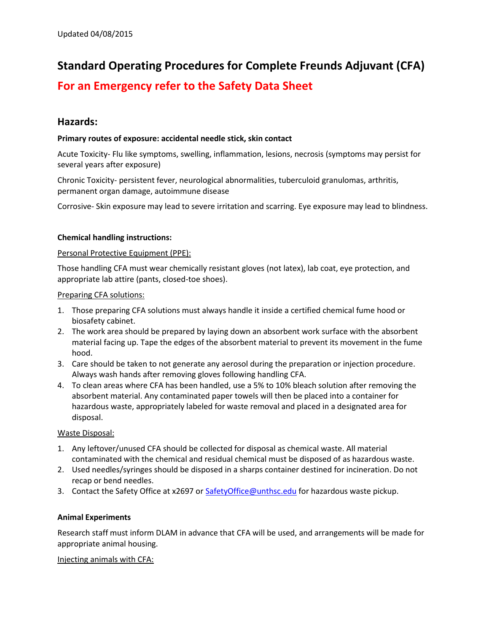# **Standard Operating Procedures for Complete Freunds Adjuvant (CFA)**

# **For an Emergency refer to the Safety Data Sheet**

# **Hazards:**

# **Primary routes of exposure: accidental needle stick, skin contact**

Acute Toxicity- Flu like symptoms, swelling, inflammation, lesions, necrosis (symptoms may persist for several years after exposure)

Chronic Toxicity- persistent fever, neurological abnormalities, tuberculoid granulomas, arthritis, permanent organ damage, autoimmune disease

Corrosive- Skin exposure may lead to severe irritation and scarring. Eye exposure may lead to blindness.

# **Chemical handling instructions:**

# Personal Protective Equipment (PPE):

Those handling CFA must wear chemically resistant gloves (not latex), lab coat, eye protection, and appropriate lab attire (pants, closed-toe shoes).

#### Preparing CFA solutions:

- 1. Those preparing CFA solutions must always handle it inside a certified chemical fume hood or biosafety cabinet.
- 2. The work area should be prepared by laying down an absorbent work surface with the absorbent material facing up. Tape the edges of the absorbent material to prevent its movement in the fume hood.
- 3. Care should be taken to not generate any aerosol during the preparation or injection procedure. Always wash hands after removing gloves following handling CFA.
- 4. To clean areas where CFA has been handled, use a 5% to 10% bleach solution after removing the absorbent material. Any contaminated paper towels will then be placed into a container for hazardous waste, appropriately labeled for waste removal and placed in a designated area for disposal.

# Waste Disposal:

- 1. Any leftover/unused CFA should be collected for disposal as chemical waste. All material contaminated with the chemical and residual chemical must be disposed of as hazardous waste.
- 2. Used needles/syringes should be disposed in a sharps container destined for incineration. Do not recap or bend needles.
- 3. Contact the Safety Office at x2697 or [SafetyOffice@unthsc.edu](mailto:SafetyOffice@unthsc.edu) for hazardous waste pickup.

# **Animal Experiments**

Research staff must inform DLAM in advance that CFA will be used, and arrangements will be made for appropriate animal housing.

# Injecting animals with CFA: